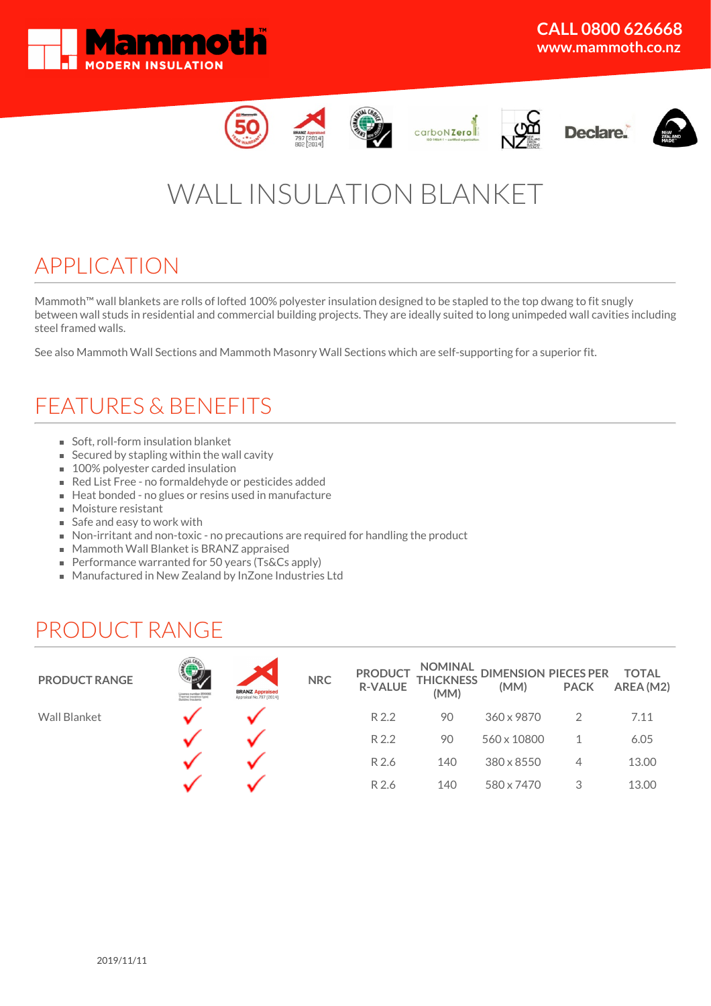













# WALL INSULATION BLANKET

# APPLICATION

Mammoth™ wall blankets are rolls of lofted 100% polyester insulation designed to be stapled to the top dwang to fit snugly between wall studs in residential and commercial building projects. They are ideally suited to long unimpeded wall cavities including steel framed walls.

See also Mammoth Wall Sections and Mammoth Masonry Wall Sections which are self-supporting for a superior fit.

# FEATURES & BENEFITS

- Soft, roll-form insulation blanket
- $\blacksquare$  Secured by stapling within the wall cavity
- 100% polyester carded insulation
- Red List Free no formaldehyde or pesticides added
- Heat bonded no glues or resins used in manufacture
- **Moisture resistant**
- Safe and easy to work with
- Non-irritant and non-toxic no precautions are required for handling the product
- **Mammoth Wall Blanket is BRANZ appraised**
- **Performance warranted for 50 years (Ts&Cs apply)**
- Manufactured in New Zealand by InZone Industries Ltd

### PRODUCT RANGE

| <b>PRODUCT RANGE</b> | Licence mamber 2510000<br>Thermal (resistive-type)<br>Daliding insulants | <b>BRANZ Appraised</b><br>Appraisal No.797 [2014] | <b>NRC</b> | <b>PRODUCT</b><br><b>R-VALUE</b> | NOMINAL<br><b>THICKNESS</b><br>(MM) | DIMENSION PIECES PER<br>(MM) | <b>PACK</b> | TOTAL<br>AREA (M2) |
|----------------------|--------------------------------------------------------------------------|---------------------------------------------------|------------|----------------------------------|-------------------------------------|------------------------------|-------------|--------------------|
| <b>Wall Blanket</b>  |                                                                          |                                                   |            | R 2.2                            | 90                                  | 360 x 9870                   |             | 7.11               |
|                      |                                                                          |                                                   |            | R 2.2                            | 90                                  | 560 x 10800                  |             | 6.05               |
|                      |                                                                          |                                                   |            | R 2.6                            | 140                                 | 380 x 8550                   | 4           | 13.00              |
|                      |                                                                          |                                                   |            | R 2.6                            | 140                                 | 580 x 7470                   | 3           | 13.00              |